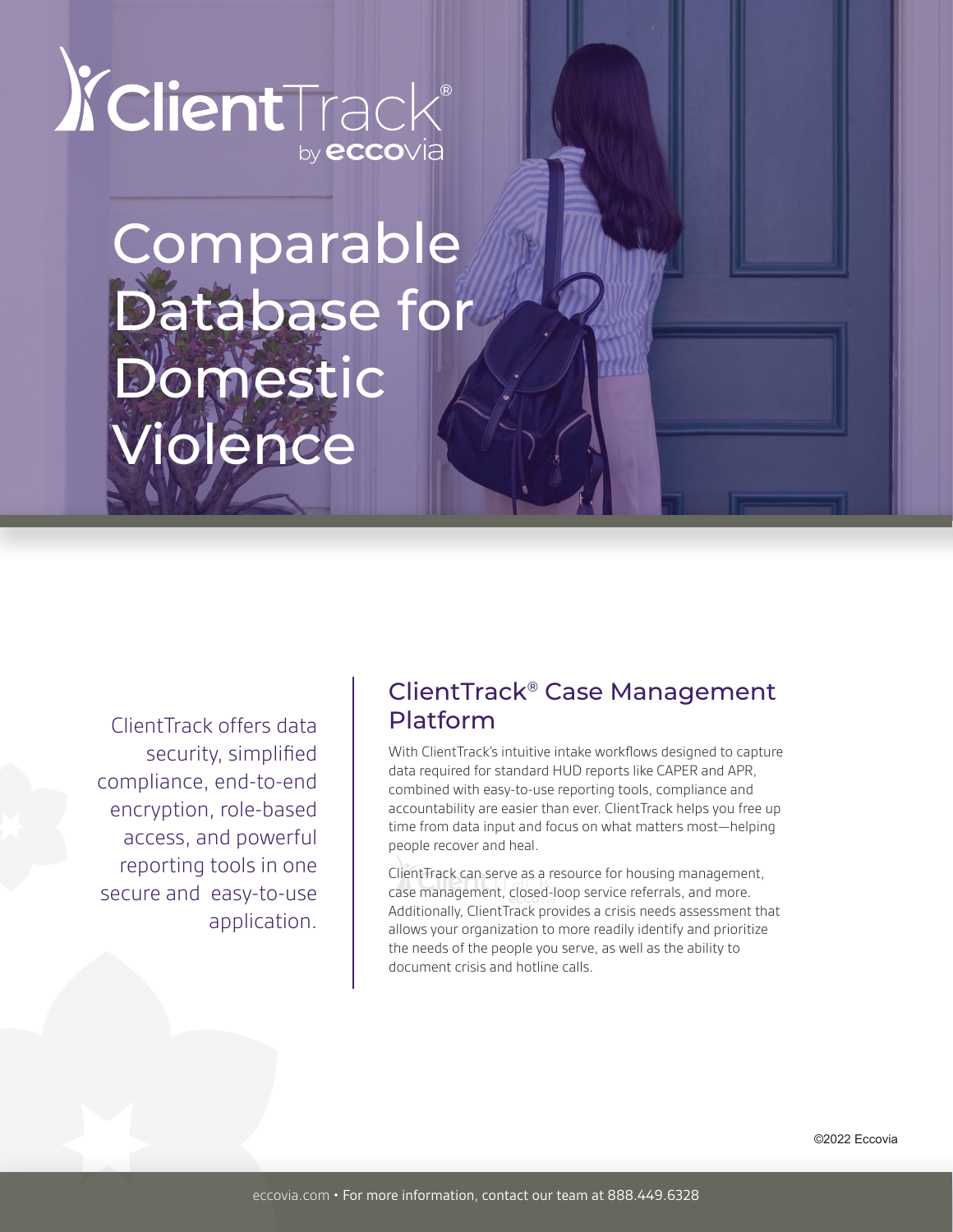

# Comparable Database for Domestic Violence

ClientTrack offers data security, simplified compliance, end-to-end encryption, role-based access, and powerful reporting tools in one secure and easy-to-use application.

# ClientTrack® Case Management Platform

With ClientTrack's intuitive intake workflows designed to capture data required for standard HUD reports like CAPER and APR, combined with easy-to-use reporting tools, compliance and accountability are easier than ever. ClientTrack helps you free up time from data input and focus on what matters most—helping people recover and heal.

ClientTrack can serve as a resource for housing management, case management, closed-loop service referrals, and more. Additionally, ClientTrack provides a crisis needs assessment that allows your organization to more readily identify and prioritize the needs of the people you serve, as well as the ability to document crisis and hotline calls.